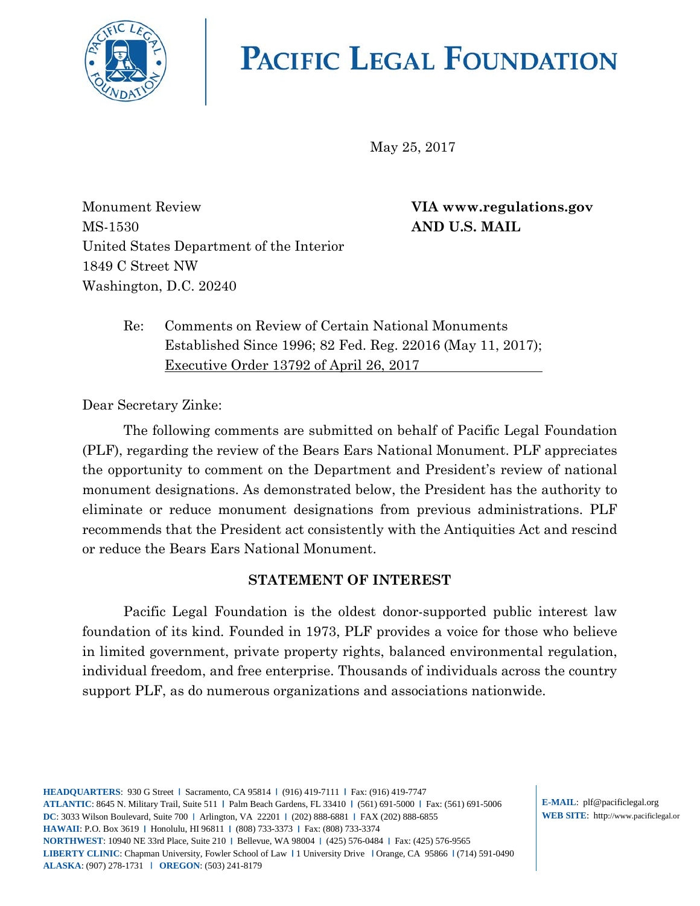

# **PACIFIC LEGAL FOUNDATION**

May 25, 2017

Monument Review **VIA www.regulations.gov** MS-1530 **AND U.S. MAIL** United States Department of the Interior 1849 C Street NW Washington, D.C. 20240

Re: Comments on Review of Certain National Monuments Established Since 1996; 82 Fed. Reg. 22016 (May 11, 2017); Executive Order 13792 of April 26, 2017

Dear Secretary Zinke:

The following comments are submitted on behalf of Pacific Legal Foundation (PLF), regarding the review of the Bears Ears National Monument. PLF appreciates the opportunity to comment on the Department and President's review of national monument designations. As demonstrated below, the President has the authority to eliminate or reduce monument designations from previous administrations. PLF recommends that the President act consistently with the Antiquities Act and rescind or reduce the Bears Ears National Monument.

#### **STATEMENT OF INTEREST**

<span id="page-0-0"></span>Pacific Legal Foundation is the oldest donor-supported public interest law foundation of its kind. Founded in 1973, PLF provides a voice for those who believe in limited government, private property rights, balanced environmental regulation, individual freedom, and free enterprise. Thousands of individuals across the country support PLF, as do numerous organizations and associations nationwide.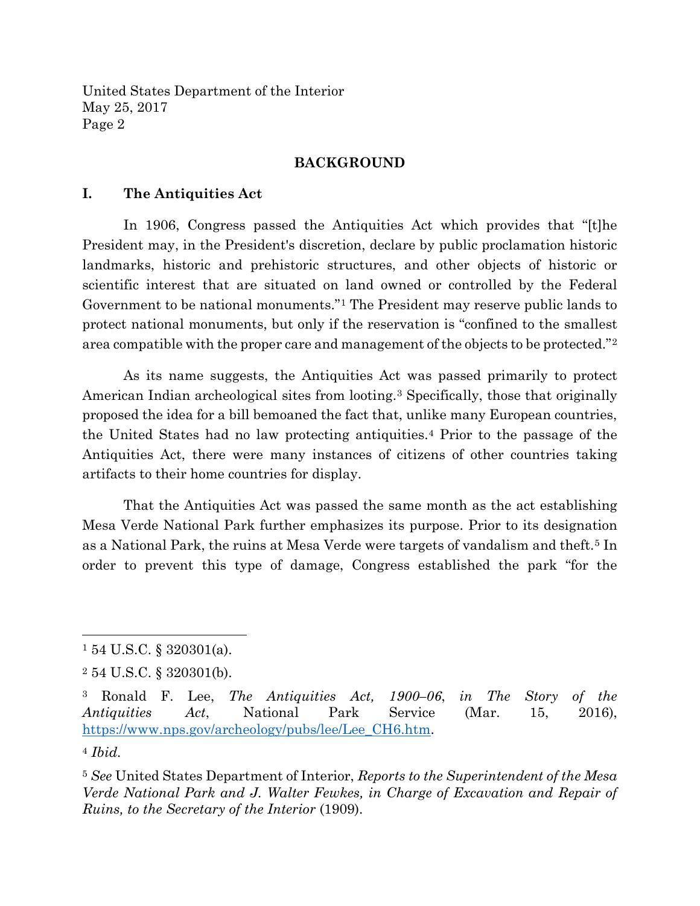#### **BACKGROUND**

#### **I. The Antiquities Act**

In 1906, Congress passed the Antiquities Act which provides that "[t]he President may, in the President's discretion, declare by public proclamation historic landmarks, historic and prehistoric structures, and other objects of historic or scientific interest that are situated on land owned or controlled by the Federal Government to be national monuments."[1](#page-0-0) The President may reserve public lands to protect national monuments, but only if the reservation is "confined to the smallest area compatible with the proper care and management of the objects to be protected."[2](#page-1-0)

As its name suggests, the Antiquities Act was passed primarily to protect American Indian archeological sites from looting[.3](#page-1-1) Specifically, those that originally proposed the idea for a bill bemoaned the fact that, unlike many European countries, the United States had no law protecting antiquities.[4](#page-1-2) Prior to the passage of the Antiquities Act, there were many instances of citizens of other countries taking artifacts to their home countries for display.

That the Antiquities Act was passed the same month as the act establishing Mesa Verde National Park further emphasizes its purpose. Prior to its designation as a National Park, the ruins at Mesa Verde were targets of vandalism and theft.<sup>[5](#page-1-3)</sup> In order to prevent this type of damage, Congress established the park "for the

 $1\,54$  U.S.C. § 320301(a).

<span id="page-1-0"></span><sup>2</sup> 54 U.S.C. § 320301(b).

<span id="page-1-1"></span><sup>3</sup> Ronald F. Lee, *The Antiquities Act, 1900–06*, *in The Story of the Antiquities Act*, National Park Service (Mar. 15, 2016), [https://www.nps.gov/archeology/pubs/lee/Lee\\_CH6.htm.](https://www.nps.gov/archeology/pubs/lee/Lee_CH6.htm)

<span id="page-1-2"></span><sup>4</sup> *Ibid.*

<span id="page-1-3"></span><sup>5</sup> *See* United States Department of Interior, *Reports to the Superintendent of the Mesa Verde National Park and J. Walter Fewkes, in Charge of Excavation and Repair of Ruins, to the Secretary of the Interior* (1909).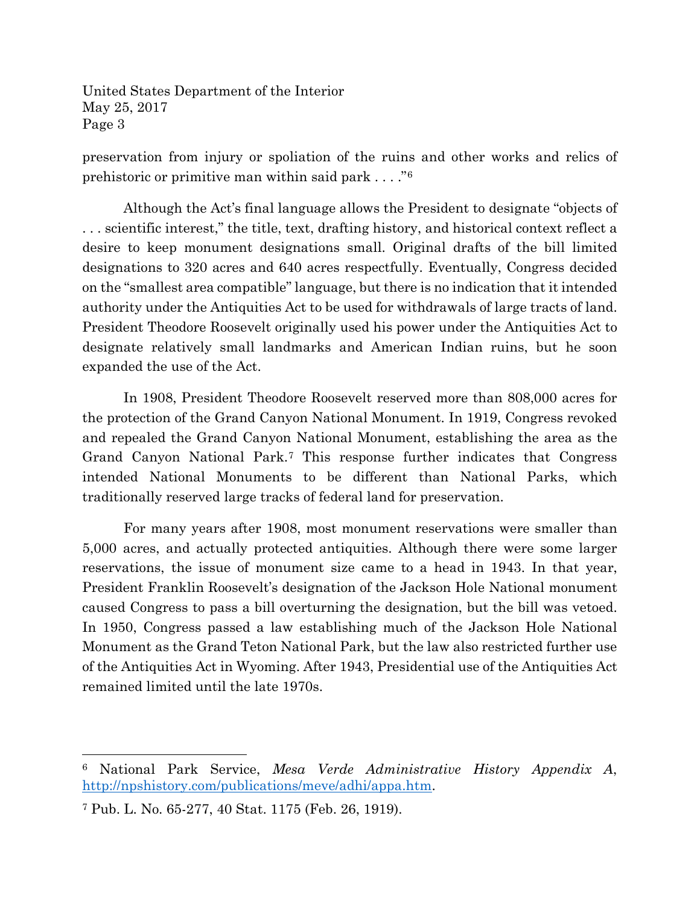preservation from injury or spoliation of the ruins and other works and relics of prehistoric or primitive man within said park . . . ."[6](#page-2-0)

Although the Act's final language allows the President to designate "objects of . . . scientific interest," the title, text, drafting history, and historical context reflect a desire to keep monument designations small. Original drafts of the bill limited designations to 320 acres and 640 acres respectfully. Eventually, Congress decided on the "smallest area compatible" language, but there is no indication that it intended authority under the Antiquities Act to be used for withdrawals of large tracts of land. President Theodore Roosevelt originally used his power under the Antiquities Act to designate relatively small landmarks and American Indian ruins, but he soon expanded the use of the Act.

In 1908, President Theodore Roosevelt reserved more than 808,000 acres for the protection of the Grand Canyon National Monument. In 1919, Congress revoked and repealed the Grand Canyon National Monument, establishing the area as the Grand Canyon National Park.[7](#page-2-1) This response further indicates that Congress intended National Monuments to be different than National Parks, which traditionally reserved large tracks of federal land for preservation.

For many years after 1908, most monument reservations were smaller than 5,000 acres, and actually protected antiquities. Although there were some larger reservations, the issue of monument size came to a head in 1943. In that year, President Franklin Roosevelt's designation of the Jackson Hole National monument caused Congress to pass a bill overturning the designation, but the bill was vetoed. In 1950, Congress passed a law establishing much of the Jackson Hole National Monument as the Grand Teton National Park, but the law also restricted further use of the Antiquities Act in Wyoming. After 1943, Presidential use of the Antiquities Act remained limited until the late 1970s.

<span id="page-2-0"></span><sup>6</sup> National Park Service, *Mesa Verde Administrative History Appendix A*, [http://npshistory.com/publications/meve/adhi/appa.htm.](http://npshistory.com/publications/meve/adhi/appa.htm)

<span id="page-2-1"></span><sup>7</sup> Pub. L. No. 65-277, 40 Stat. 1175 (Feb. 26, 1919).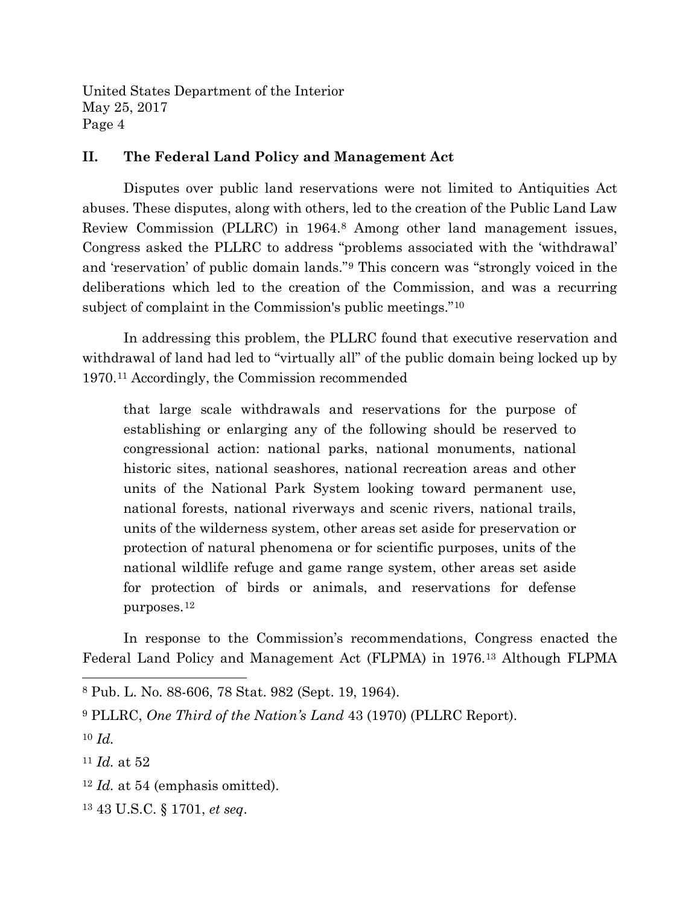#### **II. The Federal Land Policy and Management Act**

Disputes over public land reservations were not limited to Antiquities Act abuses. These disputes, along with others, led to the creation of the Public Land Law Review Commission (PLLRC) in 1964.[8](#page-3-0) Among other land management issues, Congress asked the PLLRC to address "problems associated with the 'withdrawal' and 'reservation' of public domain lands."[9](#page-3-1) This concern was "strongly voiced in the deliberations which led to the creation of the Commission, and was a recurring subject of complaint in the Commission's public meetings."[10](#page-3-2)

In addressing this problem, the PLLRC found that executive reservation and withdrawal of land had led to "virtually all" of the public domain being locked up by 1970.[11](#page-3-3) Accordingly, the Commission recommended

that large scale withdrawals and reservations for the purpose of establishing or enlarging any of the following should be reserved to congressional action: national parks, national monuments, national historic sites, national seashores, national recreation areas and other units of the National Park System looking toward permanent use, national forests, national riverways and scenic rivers, national trails, units of the wilderness system, other areas set aside for preservation or protection of natural phenomena or for scientific purposes, units of the national wildlife refuge and game range system, other areas set aside for protection of birds or animals, and reservations for defense purposes.[12](#page-3-4)

In response to the Commission's recommendations, Congress enacted the Federal Land Policy and Management Act (FLPMA) in 1976.[13](#page-3-5) Although FLPMA

- <span id="page-3-4"></span><sup>12</sup> *Id.* at 54 (emphasis omitted).
- <span id="page-3-5"></span><sup>13</sup> 43 U.S.C. § 1701, *et seq*.

<span id="page-3-0"></span><sup>8</sup> Pub. L. No. 88-606, 78 Stat. 982 (Sept. 19, 1964).

<span id="page-3-1"></span><sup>9</sup> PLLRC, *One Third of the Nation's Land* 43 (1970) (PLLRC Report).

<span id="page-3-2"></span><sup>10</sup> *Id.*

<span id="page-3-3"></span><sup>11</sup> *Id.* at 52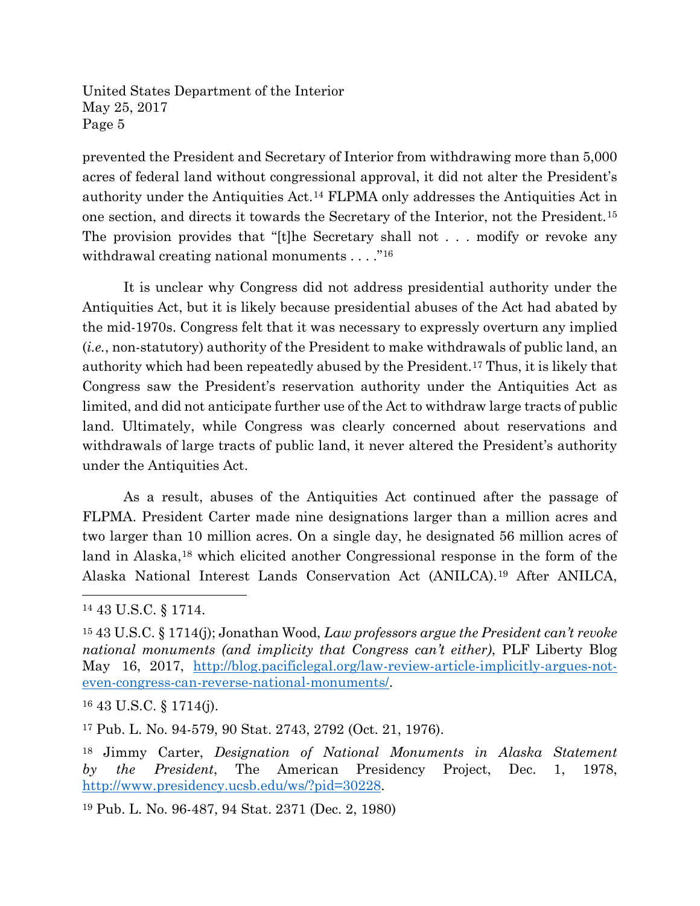prevented the President and Secretary of Interior from withdrawing more than 5,000 acres of federal land without congressional approval, it did not alter the President's authority under the Antiquities Act.[14](#page-4-0) FLPMA only addresses the Antiquities Act in one section, and directs it towards the Secretary of the Interior, not the President.[15](#page-4-1) The provision provides that "[t]he Secretary shall not . . . modify or revoke any withdrawal creating national monuments . . . . "<sup>[16](#page-4-2)</sup>

It is unclear why Congress did not address presidential authority under the Antiquities Act, but it is likely because presidential abuses of the Act had abated by the mid-1970s. Congress felt that it was necessary to expressly overturn any implied (*i.e.*, non-statutory) authority of the President to make withdrawals of public land, an authority which had been repeatedly abused by the President.[17](#page-4-3) Thus, it is likely that Congress saw the President's reservation authority under the Antiquities Act as limited, and did not anticipate further use of the Act to withdraw large tracts of public land. Ultimately, while Congress was clearly concerned about reservations and withdrawals of large tracts of public land, it never altered the President's authority under the Antiquities Act.

As a result, abuses of the Antiquities Act continued after the passage of FLPMA. President Carter made nine designations larger than a million acres and two larger than 10 million acres. On a single day, he designated 56 million acres of land in Alaska,<sup>[18](#page-4-4)</sup> which elicited another Congressional response in the form of the Alaska National Interest Lands Conservation Act (ANILCA).[19](#page-4-5) After ANILCA,

 $\overline{a}$ 

<span id="page-4-2"></span><sup>16</sup> 43 U.S.C. § 1714(j).

<span id="page-4-3"></span><sup>17</sup> Pub. L. No. 94-579, 90 Stat. 2743, 2792 (Oct. 21, 1976).

<span id="page-4-5"></span><sup>19</sup> Pub. L. No. 96-487, 94 Stat. 2371 (Dec. 2, 1980)

<span id="page-4-0"></span><sup>14</sup> 43 U.S.C. § 1714.

<span id="page-4-1"></span><sup>15</sup> 43 U.S.C. § 1714(j); Jonathan Wood, *Law professors argue the President can't revoke national monuments (and implicity that Congress can't either)*, PLF Liberty Blog May 16, 2017, [http://blog.pacificlegal.org/law-review-article-implicitly-argues-not](http://blog.pacificlegal.org/law-review-article-implicitly-argues-not-even-congress-can-reverse-national-monuments/)[even-congress-can-reverse-national-monuments/.](http://blog.pacificlegal.org/law-review-article-implicitly-argues-not-even-congress-can-reverse-national-monuments/)

<span id="page-4-4"></span><sup>18</sup> Jimmy Carter, *Designation of National Monuments in Alaska Statement by the President*, The American Presidency Project, Dec. 1, 1978, [http://www.presidency.ucsb.edu/ws/?pid=30228.](http://www.presidency.ucsb.edu/ws/?pid=30228)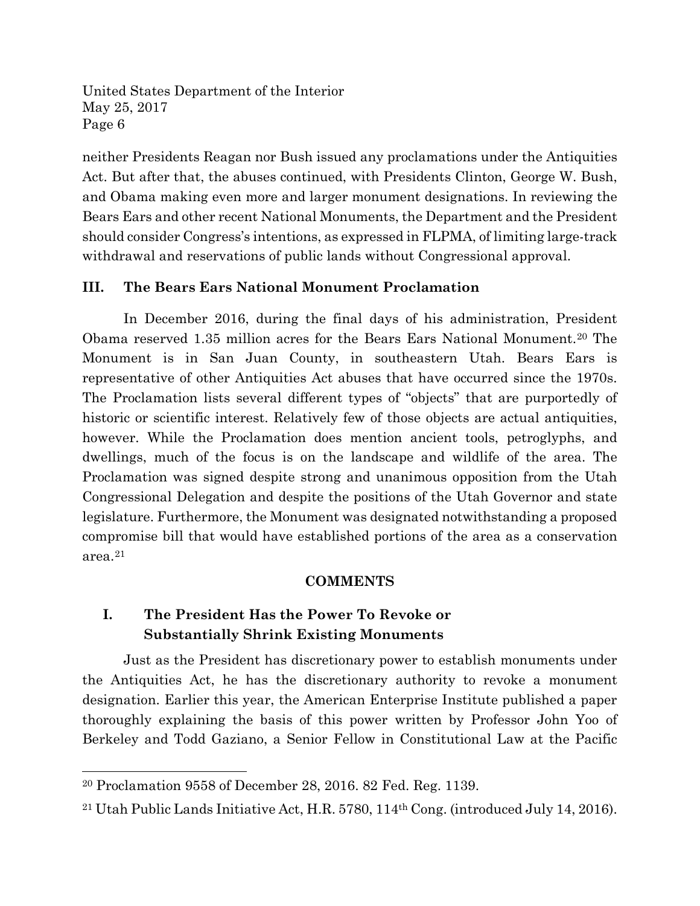neither Presidents Reagan nor Bush issued any proclamations under the Antiquities Act. But after that, the abuses continued, with Presidents Clinton, George W. Bush, and Obama making even more and larger monument designations. In reviewing the Bears Ears and other recent National Monuments, the Department and the President should consider Congress's intentions, as expressed in FLPMA, of limiting large-track withdrawal and reservations of public lands without Congressional approval.

#### **III. The Bears Ears National Monument Proclamation**

In December 2016, during the final days of his administration, President Obama reserved 1.35 million acres for the Bears Ears National Monument.[20](#page-5-0) The Monument is in San Juan County, in southeastern Utah. Bears Ears is representative of other Antiquities Act abuses that have occurred since the 1970s. The Proclamation lists several different types of "objects" that are purportedly of historic or scientific interest. Relatively few of those objects are actual antiquities, however. While the Proclamation does mention ancient tools, petroglyphs, and dwellings, much of the focus is on the landscape and wildlife of the area. The Proclamation was signed despite strong and unanimous opposition from the Utah Congressional Delegation and despite the positions of the Utah Governor and state legislature. Furthermore, the Monument was designated notwithstanding a proposed compromise bill that would have established portions of the area as a conservation area.[21](#page-5-1)

#### **COMMENTS**

# **I. The President Has the Power To Revoke or Substantially Shrink Existing Monuments**

Just as the President has discretionary power to establish monuments under the Antiquities Act, he has the discretionary authority to revoke a monument designation. Earlier this year, the American Enterprise Institute published a paper thoroughly explaining the basis of this power written by Professor John Yoo of Berkeley and Todd Gaziano, a Senior Fellow in Constitutional Law at the Pacific

<span id="page-5-0"></span><sup>20</sup> Proclamation 9558 of December 28, 2016. 82 Fed. Reg. 1139.

<span id="page-5-1"></span><sup>21</sup> Utah Public Lands Initiative Act, H.R. 5780, 114th Cong. (introduced July 14, 2016).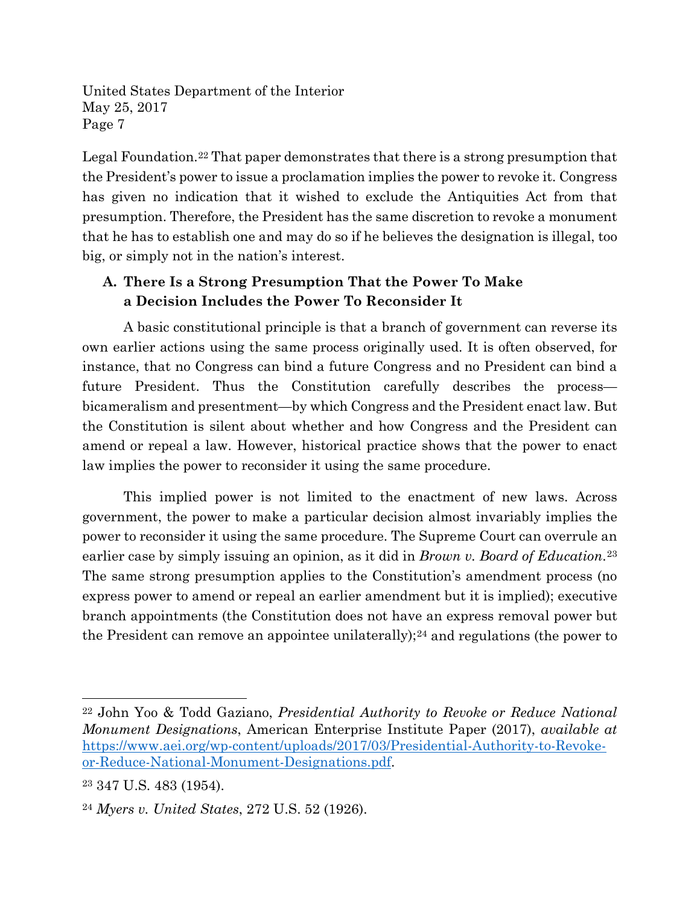Legal Foundation[.22](#page-6-0) That paper demonstrates that there is a strong presumption that the President's power to issue a proclamation implies the power to revoke it. Congress has given no indication that it wished to exclude the Antiquities Act from that presumption. Therefore, the President has the same discretion to revoke a monument that he has to establish one and may do so if he believes the designation is illegal, too big, or simply not in the nation's interest.

# **A. There Is a Strong Presumption That the Power To Make a Decision Includes the Power To Reconsider It**

A basic constitutional principle is that a branch of government can reverse its own earlier actions using the same process originally used. It is often observed, for instance, that no Congress can bind a future Congress and no President can bind a future President. Thus the Constitution carefully describes the process bicameralism and presentment—by which Congress and the President enact law. But the Constitution is silent about whether and how Congress and the President can amend or repeal a law. However, historical practice shows that the power to enact law implies the power to reconsider it using the same procedure.

This implied power is not limited to the enactment of new laws. Across government, the power to make a particular decision almost invariably implies the power to reconsider it using the same procedure. The Supreme Court can overrule an earlier case by simply issuing an opinion, as it did in *Brown v. Board of Education*.[23](#page-6-1) The same strong presumption applies to the Constitution's amendment process (no express power to amend or repeal an earlier amendment but it is implied); executive branch appointments (the Constitution does not have an express removal power but the President can remove an appointee unilaterally);<sup>[24](#page-6-2)</sup> and regulations (the power to

<span id="page-6-0"></span><sup>22</sup> John Yoo & Todd Gaziano, *Presidential Authority to Revoke or Reduce National Monument Designations*, American Enterprise Institute Paper (2017), *available at*  [https://www.aei.org/wp-content/uploads/2017/03/Presidential-Authority-to-Revoke](https://www.aei.org/wp-content/uploads/2017/03/Presidential-Authority-to-Revoke-or-Reduce-National-Monument-Designations.pdf)[or-Reduce-National-Monument-Designations.pdf.](https://www.aei.org/wp-content/uploads/2017/03/Presidential-Authority-to-Revoke-or-Reduce-National-Monument-Designations.pdf)

<span id="page-6-1"></span><sup>23</sup> 347 U.S. 483 (1954).

<span id="page-6-2"></span><sup>24</sup> *Myers v. United States*, 272 U.S. 52 (1926).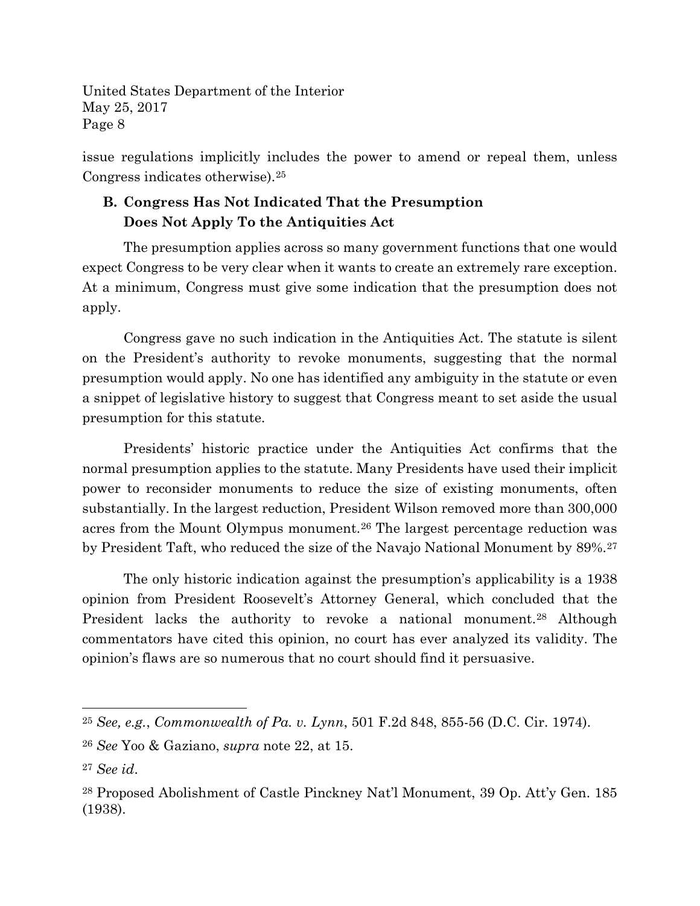issue regulations implicitly includes the power to amend or repeal them, unless Congress indicates otherwise).[25](#page-7-0)

# **B. Congress Has Not Indicated That the Presumption Does Not Apply To the Antiquities Act**

The presumption applies across so many government functions that one would expect Congress to be very clear when it wants to create an extremely rare exception. At a minimum, Congress must give some indication that the presumption does not apply.

Congress gave no such indication in the Antiquities Act. The statute is silent on the President's authority to revoke monuments, suggesting that the normal presumption would apply. No one has identified any ambiguity in the statute or even a snippet of legislative history to suggest that Congress meant to set aside the usual presumption for this statute.

Presidents' historic practice under the Antiquities Act confirms that the normal presumption applies to the statute. Many Presidents have used their implicit power to reconsider monuments to reduce the size of existing monuments, often substantially. In the largest reduction, President Wilson removed more than 300,000 acres from the Mount Olympus monument.[26](#page-7-1) The largest percentage reduction was by President Taft, who reduced the size of the Navajo National Monument by 89%.[27](#page-7-2)

The only historic indication against the presumption's applicability is a 1938 opinion from President Roosevelt's Attorney General, which concluded that the President lacks the authority to revoke a national monument.<sup>[28](#page-7-3)</sup> Although commentators have cited this opinion, no court has ever analyzed its validity. The opinion's flaws are so numerous that no court should find it persuasive.

<span id="page-7-0"></span><sup>25</sup> *See, e.g.*, *Commonwealth of Pa. v. Lynn*, 501 F.2d 848, 855-56 (D.C. Cir. 1974).

<span id="page-7-1"></span><sup>26</sup> *See* Yoo & Gaziano, *supra* note 22, at 15.

<span id="page-7-2"></span><sup>27</sup> *See id*.

<span id="page-7-3"></span><sup>28</sup> Proposed Abolishment of Castle Pinckney Nat'l Monument, 39 Op. Att'y Gen. 185 (1938).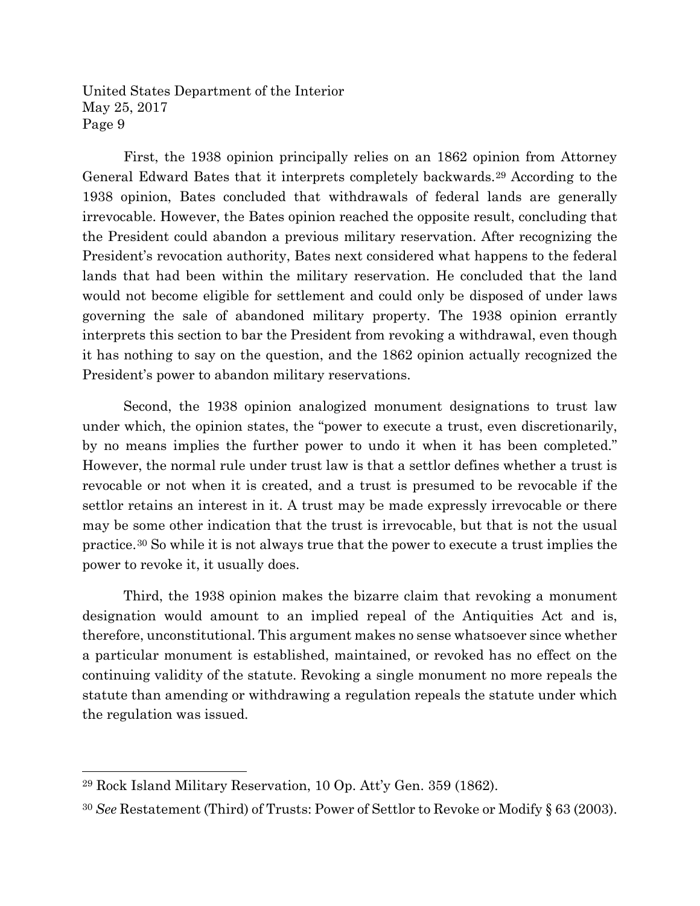First, the 1938 opinion principally relies on an 1862 opinion from Attorney General Edward Bates that it interprets completely backwards.[29](#page-8-0) According to the 1938 opinion, Bates concluded that withdrawals of federal lands are generally irrevocable. However, the Bates opinion reached the opposite result, concluding that the President could abandon a previous military reservation. After recognizing the President's revocation authority, Bates next considered what happens to the federal lands that had been within the military reservation. He concluded that the land would not become eligible for settlement and could only be disposed of under laws governing the sale of abandoned military property. The 1938 opinion errantly interprets this section to bar the President from revoking a withdrawal, even though it has nothing to say on the question, and the 1862 opinion actually recognized the President's power to abandon military reservations.

Second, the 1938 opinion analogized monument designations to trust law under which, the opinion states, the "power to execute a trust, even discretionarily, by no means implies the further power to undo it when it has been completed." However, the normal rule under trust law is that a settlor defines whether a trust is revocable or not when it is created, and a trust is presumed to be revocable if the settlor retains an interest in it. A trust may be made expressly irrevocable or there may be some other indication that the trust is irrevocable, but that is not the usual practice.[30](#page-8-1) So while it is not always true that the power to execute a trust implies the power to revoke it, it usually does.

Third, the 1938 opinion makes the bizarre claim that revoking a monument designation would amount to an implied repeal of the Antiquities Act and is, therefore, unconstitutional. This argument makes no sense whatsoever since whether a particular monument is established, maintained, or revoked has no effect on the continuing validity of the statute. Revoking a single monument no more repeals the statute than amending or withdrawing a regulation repeals the statute under which the regulation was issued.

<span id="page-8-0"></span><sup>29</sup> Rock Island Military Reservation, 10 Op. Att'y Gen. 359 (1862).

<span id="page-8-1"></span><sup>30</sup> *See* Restatement (Third) of Trusts: Power of Settlor to Revoke or Modify § 63 (2003).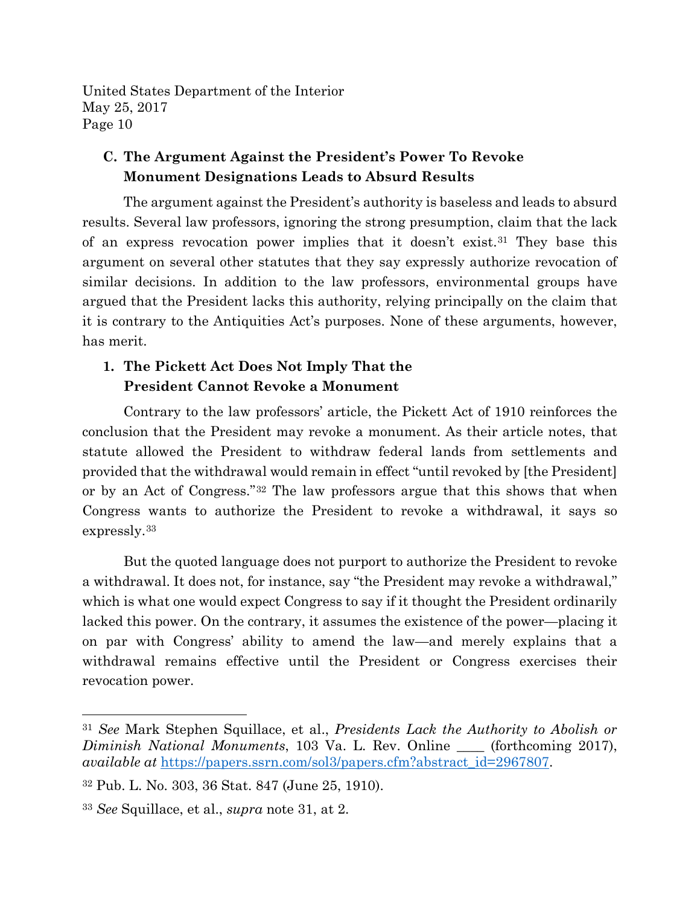### **C. The Argument Against the President's Power To Revoke Monument Designations Leads to Absurd Results**

The argument against the President's authority is baseless and leads to absurd results. Several law professors, ignoring the strong presumption, claim that the lack of an express revocation power implies that it doesn't exist.[31](#page-9-0) They base this argument on several other statutes that they say expressly authorize revocation of similar decisions. In addition to the law professors, environmental groups have argued that the President lacks this authority, relying principally on the claim that it is contrary to the Antiquities Act's purposes. None of these arguments, however, has merit.

# **1. The Pickett Act Does Not Imply That the President Cannot Revoke a Monument**

Contrary to the law professors' article, the Pickett Act of 1910 reinforces the conclusion that the President may revoke a monument. As their article notes, that statute allowed the President to withdraw federal lands from settlements and provided that the withdrawal would remain in effect "until revoked by [the President] or by an Act of Congress."[32](#page-9-1) The law professors argue that this shows that when Congress wants to authorize the President to revoke a withdrawal, it says so expressly.[33](#page-9-2)

But the quoted language does not purport to authorize the President to revoke a withdrawal. It does not, for instance, say "the President may revoke a withdrawal," which is what one would expect Congress to say if it thought the President ordinarily lacked this power. On the contrary, it assumes the existence of the power—placing it on par with Congress' ability to amend the law—and merely explains that a withdrawal remains effective until the President or Congress exercises their revocation power.

<span id="page-9-0"></span><sup>31</sup> *See* Mark Stephen Squillace, et al., *Presidents Lack the Authority to Abolish or Diminish National Monuments*, 103 Va. L. Rev. Online \_\_\_\_ (forthcoming 2017), *available at* [https://papers.ssrn.com/sol3/papers.cfm?abstract\\_id=2967807.](https://papers.ssrn.com/sol3/papers.cfm?abstract_id=2967807)

<span id="page-9-1"></span><sup>32</sup> Pub. L. No. 303, 36 Stat. 847 (June 25, 1910).

<span id="page-9-2"></span><sup>33</sup> *See* Squillace, et al., *supra* note 31, at 2.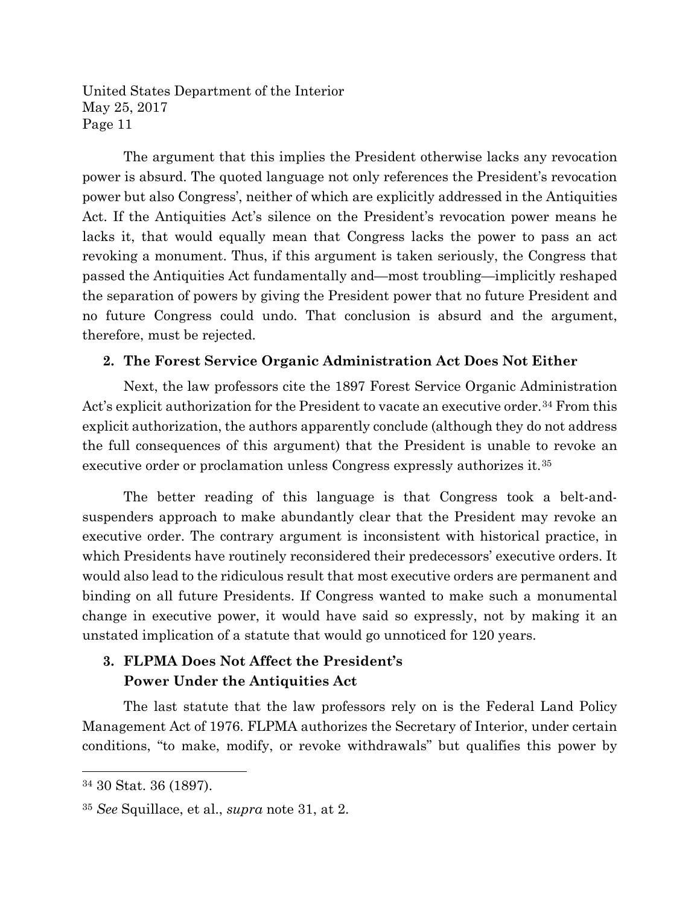The argument that this implies the President otherwise lacks any revocation power is absurd. The quoted language not only references the President's revocation power but also Congress', neither of which are explicitly addressed in the Antiquities Act. If the Antiquities Act's silence on the President's revocation power means he lacks it, that would equally mean that Congress lacks the power to pass an act revoking a monument. Thus, if this argument is taken seriously, the Congress that passed the Antiquities Act fundamentally and—most troubling—implicitly reshaped the separation of powers by giving the President power that no future President and no future Congress could undo. That conclusion is absurd and the argument, therefore, must be rejected.

#### **2. The Forest Service Organic Administration Act Does Not Either**

Next, the law professors cite the 1897 Forest Service Organic Administration Act's explicit authorization for the President to vacate an executive order.<sup>[34](#page-10-0)</sup> From this explicit authorization, the authors apparently conclude (although they do not address the full consequences of this argument) that the President is unable to revoke an executive order or proclamation unless Congress expressly authorizes it.[35](#page-10-1)

The better reading of this language is that Congress took a belt-andsuspenders approach to make abundantly clear that the President may revoke an executive order. The contrary argument is inconsistent with historical practice, in which Presidents have routinely reconsidered their predecessors' executive orders. It would also lead to the ridiculous result that most executive orders are permanent and binding on all future Presidents. If Congress wanted to make such a monumental change in executive power, it would have said so expressly, not by making it an unstated implication of a statute that would go unnoticed for 120 years.

# **3. FLPMA Does Not Affect the President's Power Under the Antiquities Act**

The last statute that the law professors rely on is the Federal Land Policy Management Act of 1976. FLPMA authorizes the Secretary of Interior, under certain conditions, "to make, modify, or revoke withdrawals" but qualifies this power by

<span id="page-10-0"></span><sup>34</sup> 30 Stat. 36 (1897).

<span id="page-10-1"></span><sup>35</sup> *See* Squillace, et al., *supra* note 31, at 2.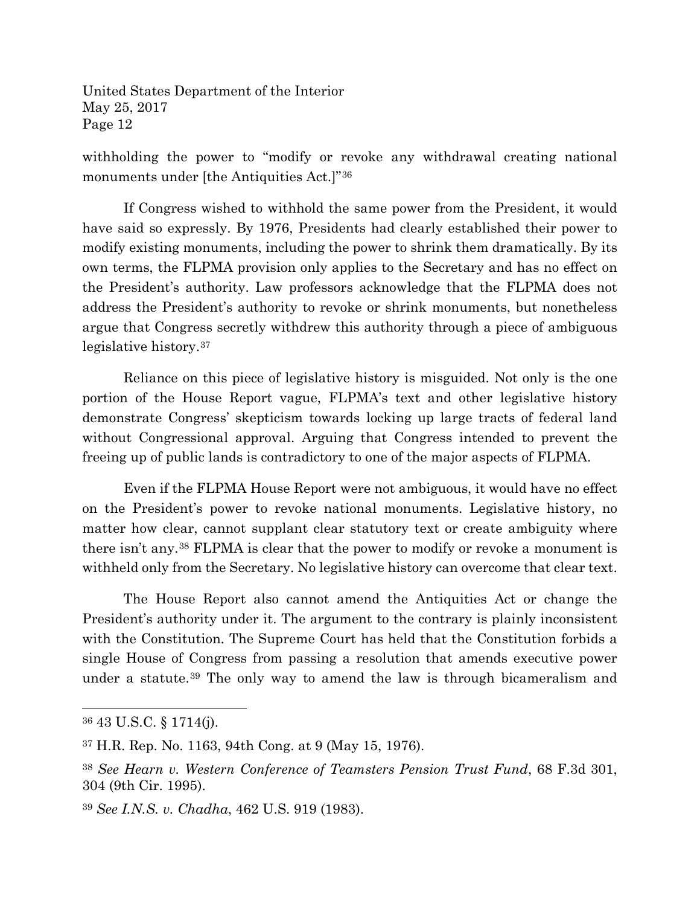withholding the power to "modify or revoke any withdrawal creating national monuments under [the Antiquities Act.]"[36](#page-11-0)

If Congress wished to withhold the same power from the President, it would have said so expressly. By 1976, Presidents had clearly established their power to modify existing monuments, including the power to shrink them dramatically. By its own terms, the FLPMA provision only applies to the Secretary and has no effect on the President's authority. Law professors acknowledge that the FLPMA does not address the President's authority to revoke or shrink monuments, but nonetheless argue that Congress secretly withdrew this authority through a piece of ambiguous legislative history.[37](#page-11-1)

Reliance on this piece of legislative history is misguided. Not only is the one portion of the House Report vague, FLPMA's text and other legislative history demonstrate Congress' skepticism towards locking up large tracts of federal land without Congressional approval. Arguing that Congress intended to prevent the freeing up of public lands is contradictory to one of the major aspects of FLPMA.

Even if the FLPMA House Report were not ambiguous, it would have no effect on the President's power to revoke national monuments. Legislative history, no matter how clear, cannot supplant clear statutory text or create ambiguity where there isn't any.[38](#page-11-2) FLPMA is clear that the power to modify or revoke a monument is withheld only from the Secretary. No legislative history can overcome that clear text.

The House Report also cannot amend the Antiquities Act or change the President's authority under it. The argument to the contrary is plainly inconsistent with the Constitution. The Supreme Court has held that the Constitution forbids a single House of Congress from passing a resolution that amends executive power under a statute.<sup>[39](#page-11-3)</sup> The only way to amend the law is through bicameralism and

 $\overline{a}$ 

<span id="page-11-3"></span><sup>39</sup> *See I.N.S. v. Chadha*, 462 U.S. 919 (1983).

<span id="page-11-0"></span><sup>36</sup> 43 U.S.C. § 1714(j).

<span id="page-11-1"></span><sup>37</sup> H.R. Rep. No. 1163, 94th Cong. at 9 (May 15, 1976).

<span id="page-11-2"></span><sup>38</sup> *See Hearn v. Western Conference of Teamsters Pension Trust Fund*, 68 F.3d 301, 304 (9th Cir. 1995).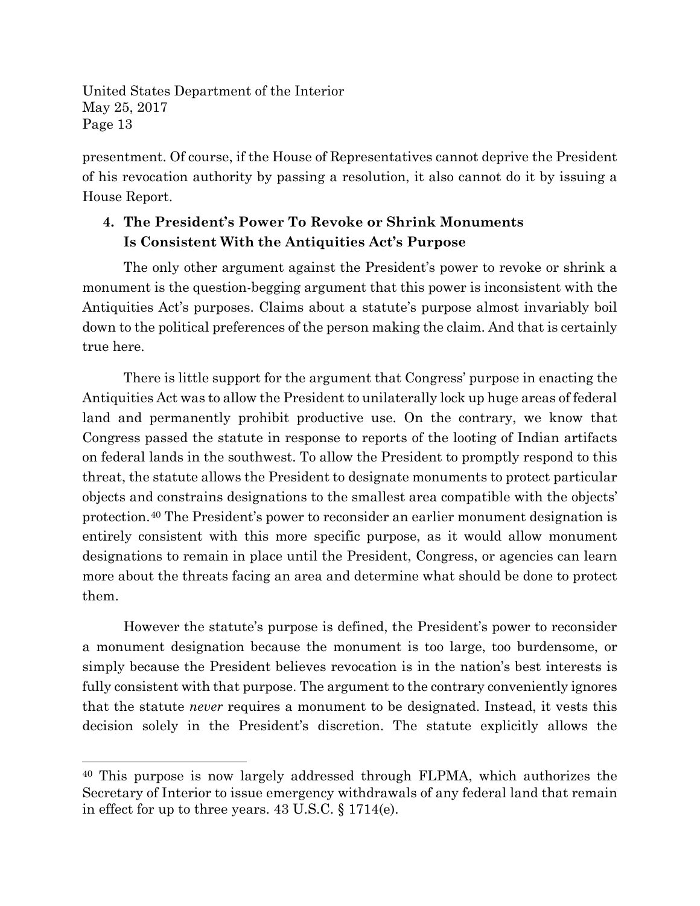$\overline{a}$ 

presentment. Of course, if the House of Representatives cannot deprive the President of his revocation authority by passing a resolution, it also cannot do it by issuing a House Report.

# **4. The President's Power To Revoke or Shrink Monuments Is Consistent With the Antiquities Act's Purpose**

The only other argument against the President's power to revoke or shrink a monument is the question-begging argument that this power is inconsistent with the Antiquities Act's purposes. Claims about a statute's purpose almost invariably boil down to the political preferences of the person making the claim. And that is certainly true here.

There is little support for the argument that Congress' purpose in enacting the Antiquities Act was to allow the President to unilaterally lock up huge areas of federal land and permanently prohibit productive use. On the contrary, we know that Congress passed the statute in response to reports of the looting of Indian artifacts on federal lands in the southwest. To allow the President to promptly respond to this threat, the statute allows the President to designate monuments to protect particular objects and constrains designations to the smallest area compatible with the objects' protection.[40](#page-12-0) The President's power to reconsider an earlier monument designation is entirely consistent with this more specific purpose, as it would allow monument designations to remain in place until the President, Congress, or agencies can learn more about the threats facing an area and determine what should be done to protect them.

However the statute's purpose is defined, the President's power to reconsider a monument designation because the monument is too large, too burdensome, or simply because the President believes revocation is in the nation's best interests is fully consistent with that purpose. The argument to the contrary conveniently ignores that the statute *never* requires a monument to be designated. Instead, it vests this decision solely in the President's discretion. The statute explicitly allows the

<span id="page-12-0"></span><sup>40</sup> This purpose is now largely addressed through FLPMA, which authorizes the Secretary of Interior to issue emergency withdrawals of any federal land that remain in effect for up to three years. 43 U.S.C. § 1714(e).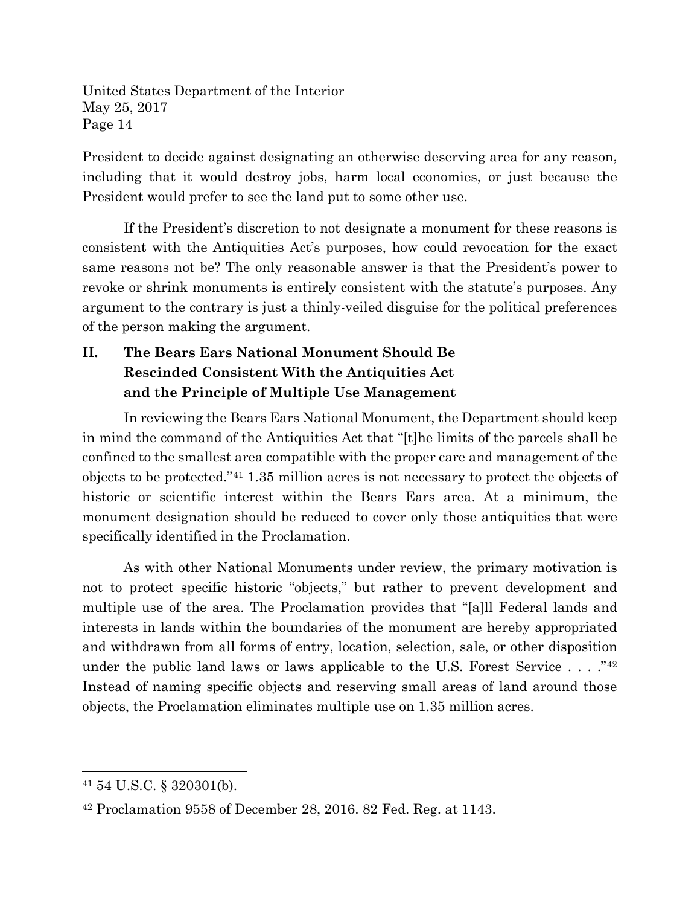President to decide against designating an otherwise deserving area for any reason, including that it would destroy jobs, harm local economies, or just because the President would prefer to see the land put to some other use.

If the President's discretion to not designate a monument for these reasons is consistent with the Antiquities Act's purposes, how could revocation for the exact same reasons not be? The only reasonable answer is that the President's power to revoke or shrink monuments is entirely consistent with the statute's purposes. Any argument to the contrary is just a thinly-veiled disguise for the political preferences of the person making the argument.

# **II. The Bears Ears National Monument Should Be Rescinded Consistent With the Antiquities Act and the Principle of Multiple Use Management**

In reviewing the Bears Ears National Monument, the Department should keep in mind the command of the Antiquities Act that "[t]he limits of the parcels shall be confined to the smallest area compatible with the proper care and management of the objects to be protected."[41](#page-13-0) 1.35 million acres is not necessary to protect the objects of historic or scientific interest within the Bears Ears area. At a minimum, the monument designation should be reduced to cover only those antiquities that were specifically identified in the Proclamation.

As with other National Monuments under review, the primary motivation is not to protect specific historic "objects," but rather to prevent development and multiple use of the area. The Proclamation provides that "[a]ll Federal lands and interests in lands within the boundaries of the monument are hereby appropriated and withdrawn from all forms of entry, location, selection, sale, or other disposition under the public land laws or laws applicable to the U.S. Forest Service  $\ldots$  ."<sup>[42](#page-13-1)</sup> Instead of naming specific objects and reserving small areas of land around those objects, the Proclamation eliminates multiple use on 1.35 million acres.

<span id="page-13-0"></span><sup>41</sup> 54 U.S.C. § 320301(b).

<span id="page-13-1"></span><sup>42</sup> Proclamation 9558 of December 28, 2016. 82 Fed. Reg. at 1143.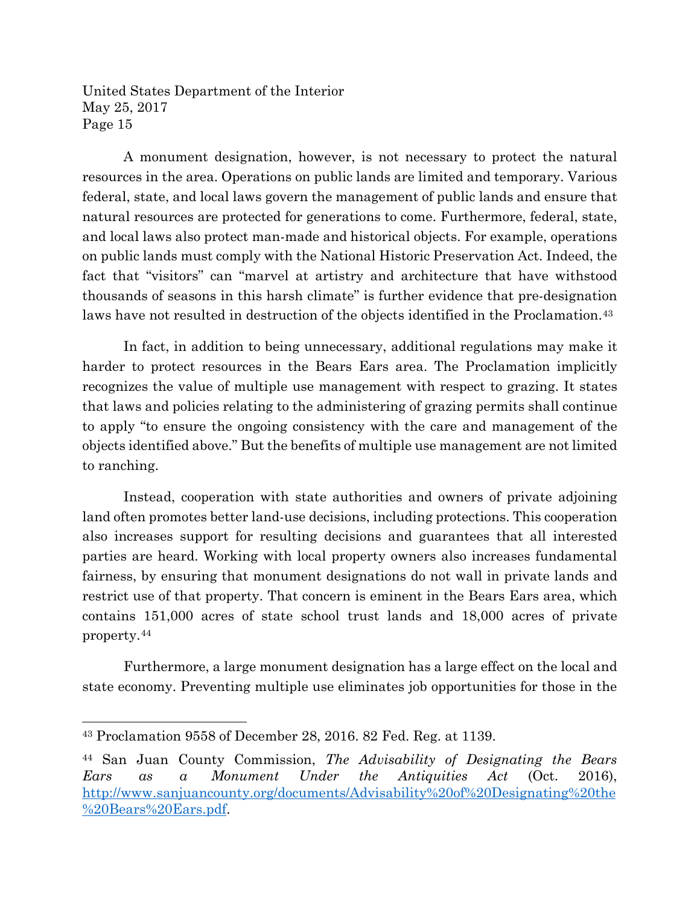A monument designation, however, is not necessary to protect the natural resources in the area. Operations on public lands are limited and temporary. Various federal, state, and local laws govern the management of public lands and ensure that natural resources are protected for generations to come. Furthermore, federal, state, and local laws also protect man-made and historical objects. For example, operations on public lands must comply with the National Historic Preservation Act. Indeed, the fact that "visitors" can "marvel at artistry and architecture that have withstood thousands of seasons in this harsh climate" is further evidence that pre-designation laws have not resulted in destruction of the objects identified in the Proclamation.<sup>[43](#page-14-0)</sup>

In fact, in addition to being unnecessary, additional regulations may make it harder to protect resources in the Bears Ears area. The Proclamation implicitly recognizes the value of multiple use management with respect to grazing. It states that laws and policies relating to the administering of grazing permits shall continue to apply "to ensure the ongoing consistency with the care and management of the objects identified above." But the benefits of multiple use management are not limited to ranching.

Instead, cooperation with state authorities and owners of private adjoining land often promotes better land-use decisions, including protections. This cooperation also increases support for resulting decisions and guarantees that all interested parties are heard. Working with local property owners also increases fundamental fairness, by ensuring that monument designations do not wall in private lands and restrict use of that property. That concern is eminent in the Bears Ears area, which contains 151,000 acres of state school trust lands and 18,000 acres of private property.[44](#page-14-1)

Furthermore, a large monument designation has a large effect on the local and state economy. Preventing multiple use eliminates job opportunities for those in the

<span id="page-14-0"></span><sup>43</sup> Proclamation 9558 of December 28, 2016. 82 Fed. Reg. at 1139.

<span id="page-14-1"></span><sup>44</sup> San Juan County Commission, *The Advisability of Designating the Bears Ears as a Monument Under the Antiquities Act* (Oct. 2016), [http://www.sanjuancounty.org/documents/Advisability%20of%20Designating%20the](http://www.sanjuancounty.org/documents/Advisability%20of%20Designating%20the%20Bears%20Ears.pdf) [%20Bears%20Ears.pdf.](http://www.sanjuancounty.org/documents/Advisability%20of%20Designating%20the%20Bears%20Ears.pdf)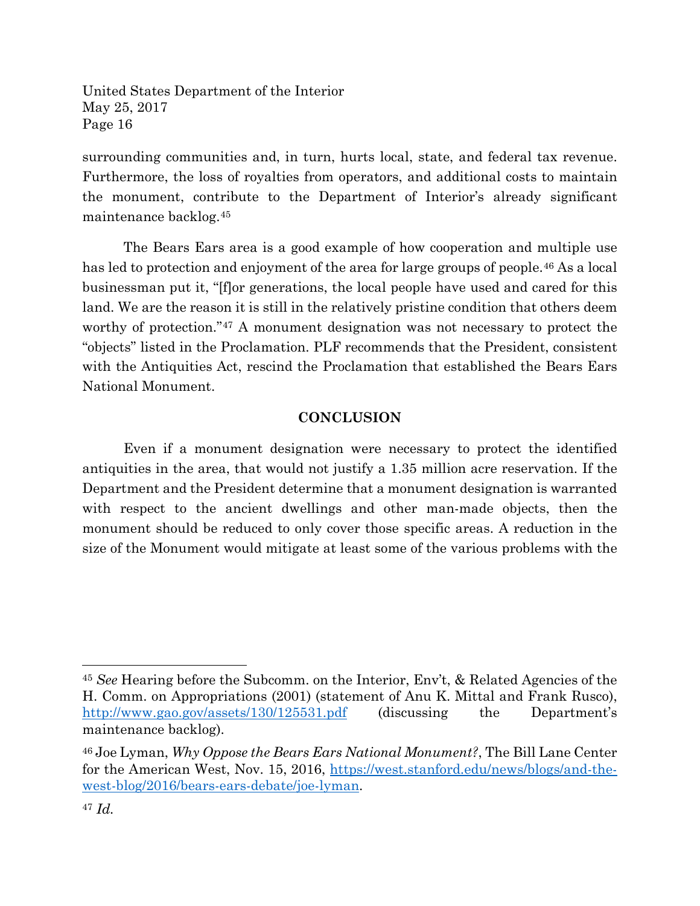surrounding communities and, in turn, hurts local, state, and federal tax revenue. Furthermore, the loss of royalties from operators, and additional costs to maintain the monument, contribute to the Department of Interior's already significant maintenance backlog.[45](#page-15-0)

The Bears Ears area is a good example of how cooperation and multiple use has led to protection and enjoyment of the area for large groups of people.<sup>[46](#page-15-1)</sup> As a local businessman put it, "[f]or generations, the local people have used and cared for this land. We are the reason it is still in the relatively pristine condition that others deem worthy of protection."<sup>[47](#page-15-2)</sup> A monument designation was not necessary to protect the "objects" listed in the Proclamation. PLF recommends that the President, consistent with the Antiquities Act, rescind the Proclamation that established the Bears Ears National Monument.

#### **CONCLUSION**

Even if a monument designation were necessary to protect the identified antiquities in the area, that would not justify a 1.35 million acre reservation. If the Department and the President determine that a monument designation is warranted with respect to the ancient dwellings and other man-made objects, then the monument should be reduced to only cover those specific areas. A reduction in the size of the Monument would mitigate at least some of the various problems with the

<span id="page-15-0"></span><sup>45</sup> *See* Hearing before the Subcomm. on the Interior, Env't, & Related Agencies of the H. Comm. on Appropriations (2001) (statement of Anu K. Mittal and Frank Rusco), <http://www.gao.gov/assets/130/125531.pdf> (discussing the Department's maintenance backlog).

<span id="page-15-1"></span><sup>46</sup> Joe Lyman, *Why Oppose the Bears Ears National Monument?*, The Bill Lane Center for the American West, Nov. 15, 2016, [https://west.stanford.edu/news/blogs/and-the](https://west.stanford.edu/news/blogs/and-the-west-blog/2016/bears-ears-debate/joe-lyman)[west-blog/2016/bears-ears-debate/joe-lyman.](https://west.stanford.edu/news/blogs/and-the-west-blog/2016/bears-ears-debate/joe-lyman)

<span id="page-15-2"></span><sup>47</sup> *Id.*